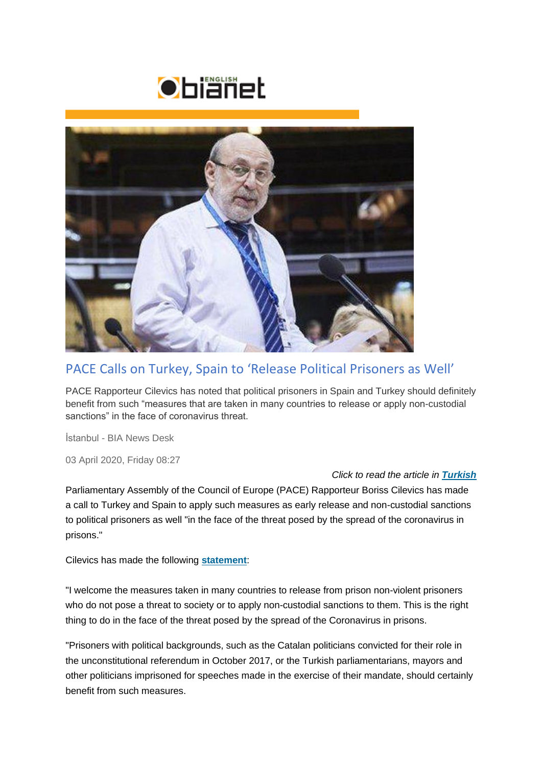



## PACE Calls on Turkey, Spain to 'Release Political Prisoners as Well'

PACE Rapporteur Cilevics has noted that political prisoners in Spain and Turkey should definitely benefit from such "measures that are taken in many countries to release or apply non-custodial sanctions" in the face of coronavirus threat.

İstanbul - BIA News Desk

03 April 2020, Friday 08:27

## *Click to read the article in [Turkish](http://bianet.org/bianet/insan-haklari/222387-akpm-den-turkiye-ve-ispanya-ya-siyasi-mahkumlari-da-birakin-cagrisi)*

Parliamentary Assembly of the Council of Europe (PACE) Rapporteur Boriss Cilevics has made a call to Turkey and Spain to apply such measures as early release and non-custodial sanctions to political prisoners as well "in the face of the threat posed by the spread of the coronavirus in prisons."

Cilevics has made the following **[statement](http://assembly.coe.int/nw/xml/News/News-View-EN.asp?newsid=7837&lang=2)**:

"I welcome the measures taken in many countries to release from prison non-violent prisoners who do not pose a threat to society or to apply non-custodial sanctions to them. This is the right thing to do in the face of the threat posed by the spread of the Coronavirus in prisons.

"Prisoners with political backgrounds, such as the Catalan politicians convicted for their role in the unconstitutional referendum in October 2017, or the Turkish parliamentarians, mayors and other politicians imprisoned for speeches made in the exercise of their mandate, should certainly benefit from such measures.